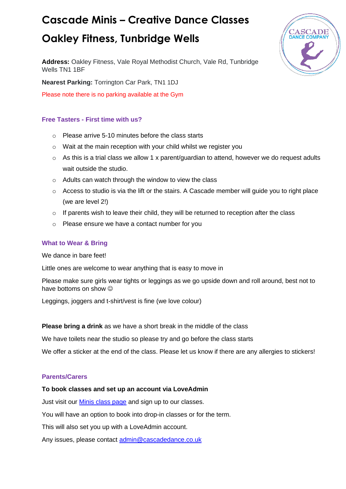# **Cascade Minis – Creative Dance Classes**

### **Oakley Fitness, Tunbridge Wells**

**Address:** Oakley Fitness, Vale Royal Methodist Church, Vale Rd, Tunbridge Wells TN1 1BF

**Nearest Parking:** Torrington Car Park, TN1 1DJ

Please note there is no parking available at the Gym

### **Free Tasters - First time with us?**

- o Please arrive 5-10 minutes before the class starts
- $\circ$  Wait at the main reception with your child whilst we register you
- $\circ$  As this is a trial class we allow 1 x parent/guardian to attend, however we do request adults wait outside the studio.
- o Adults can watch through the window to view the class
- $\circ$  Access to studio is via the lift or the stairs. A Cascade member will quide you to right place (we are level 2!)
- $\circ$  If parents wish to leave their child, they will be returned to reception after the class
- o Please ensure we have a contact number for you

#### **What to Wear & Bring**

We dance in bare feet!

Little ones are welcome to wear anything that is easy to move in

Please make sure girls wear tights or leggings as we go upside down and roll around, best not to have bottoms on show  $\odot$ 

Leggings, joggers and t-shirt/vest is fine (we love colour)

**Please bring a drink** as we have a short break in the middle of the class

We have toilets near the studio so please try and go before the class starts

We offer a sticker at the end of the class. Please let us know if there are any allergies to stickers!

#### **Parents/Carers**

#### **To book classes and set up an account via LoveAdmin**

Just visit our **Minis class page** and sign up to our classes.

You will have an option to book into drop-in classes or for the term.

This will also set you up with a LoveAdmin account.

Any issues, please contact [admin@cascadedance.co.uk](mailto:admin@cascadedance.co.uk)